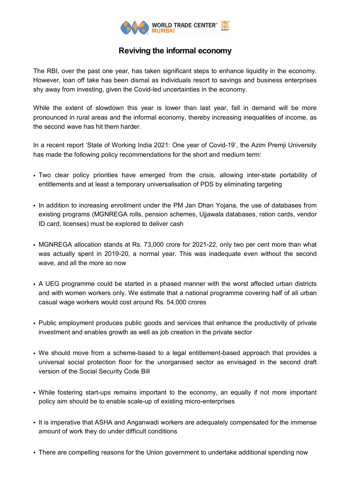

## **Reviving the informal economy**

The RBI, over the past one year, has taken significant steps to enhance liquidity in the economy. However, loan off take has been dismal as individuals resort to savings and business enterprises shy away from investing, given the Covid-led uncertainties in the economy.

While the extent of slowdown this year is lower than last year, fall in demand will be more pronounced in rural areas and the informal economy, thereby increasing inequalities of income, as the second wave has hit them harder.

In a recent report 'State of Working India 2021: One year of Covid-19', the Azim Premji University has made the following policy recommendations for the short and medium term:

- Two clear policy priorities have emerged from the crisis, allowing inter-state portability of entitlements and at least a temporary universalisation of PDS by eliminating targeting
- In addition to increasing enrollment under the PM Jan Dhan Yojana, the use of databases from existing programs (MGNREGA rolls, pension schemes, Ujjawala databases, ration cards, vendor ID card, licenses) must be explored to deliver cash
- MGNREGA allocation stands at Rs. 73,000 crore for 2021-22, only two per cent more than what was actually spent in 2019-20, a normal year. This was inadequate even without the second wave, and all the more so now
- A UEG programme could be started in a phased manner with the worst affected urban districts and with women workers only. We estimate that a national programme covering half of all urban casual wage workers would cost around Rs. 54,000 crores
- Public employment produces public goods and services that enhance the productivity of private investment and enables growth as well as job creation in the private sector
- We should move from a scheme-based to a legal entitlement-based approach that provides a universal social protection floor for the unorganised sector as envisaged in the second draft version of the Social Security Code Bill
- While fostering start-ups remains important to the economy, an equally if not more important policy aim should be to enable scale-up of existing micro-enterprises
- It is imperative that ASHA and Anganwadi workers are adequately compensated for the immense amount of work they do under difficult conditions
- There are compelling reasons for the Union government to undertake additional spending now